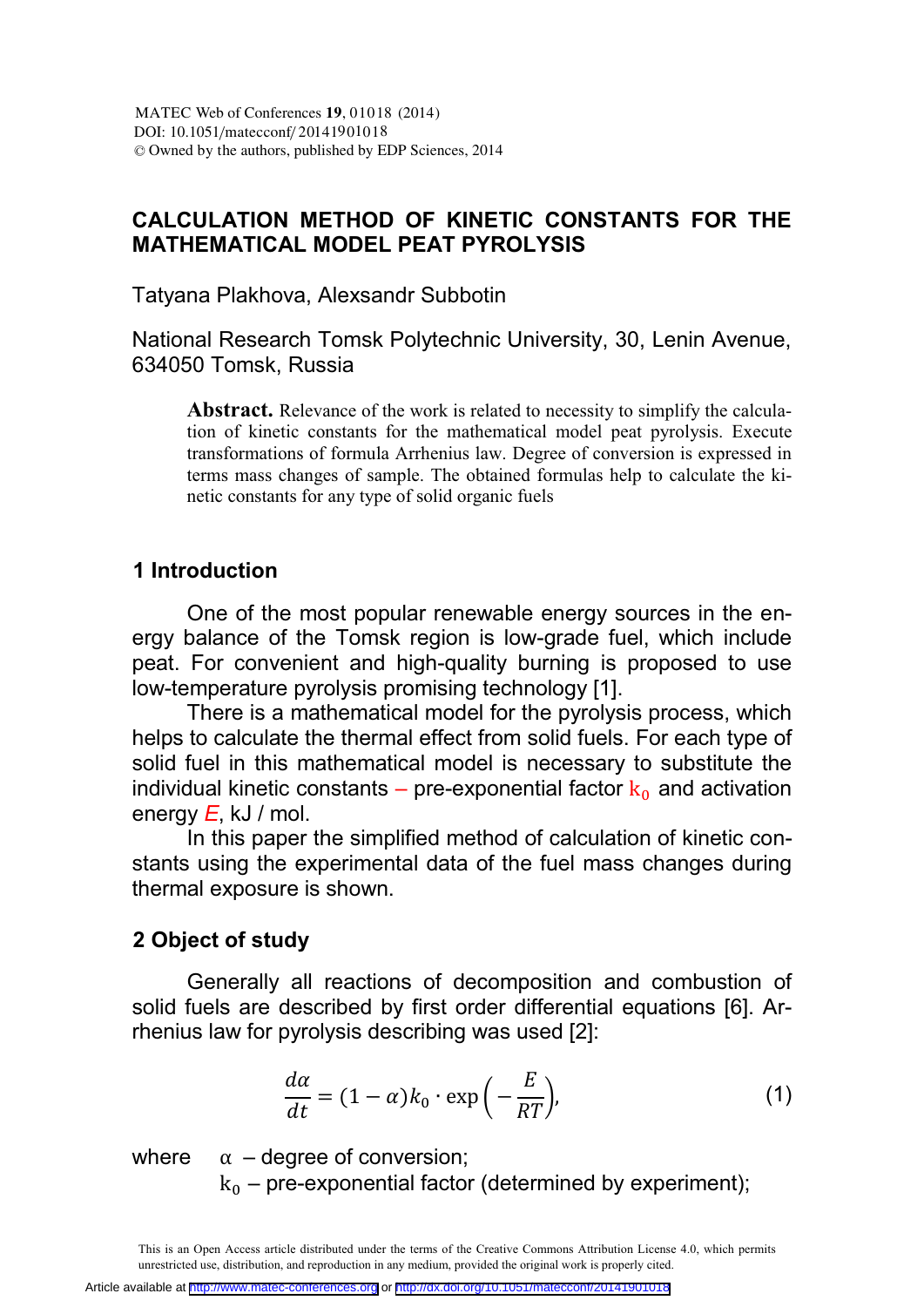## **CALCULATION METHOD OF KINETIC CONSTANTS FOR THE MATHEMATICAL MODEL PEAT PYROLYSIS**

Tatyana Plakhova, Alexsandr Subbotin

National Research Tomsk Polytechnic University, 30, Lenin Avenue, 634050 Tomsk, Russia

Abstract. Relevance of the work is related to necessity to simplify the calculation of kinetic constants for the mathematical model peat pyrolysis. Execute transformations of formula Arrhenius law. Degree of conversion is expressed in terms mass changes of sample. The obtained formulas help to calculate the kinetic constants for any type of solid organic fuels

### **1 Introduction**

One of the most popular renewable energy sources in the energy balance of the Tomsk region is low-grade fuel, which include peat. For convenient and high-quality burning is proposed to use low-temperature pyrolysis promising technology [1].

There is a mathematical model for the pyrolysis process, which helps to calculate the thermal effect from solid fuels. For each type of solid fuel in this mathematical model is necessary to substitute the individual kinetic constants – pre-exponential factor  $k_0$  and activation energy *E*, kJ / mol.

In this paper the simplified method of calculation of kinetic constants using the experimental data of the fuel mass changes during thermal exposure is shown.

### **2 Object of study**

Generally all reactions of decomposition and combustion of solid fuels are described by first order differential equations [6]. Arrhenius law for pyrolysis describing was used [2]:

$$
\frac{d\alpha}{dt} = (1 - \alpha)k_0 \cdot \exp\left(-\frac{E}{RT}\right),\tag{1}
$$

where  $\alpha$  – degree of conversion;

 $k_0$  – pre-exponential factor (determined by experiment);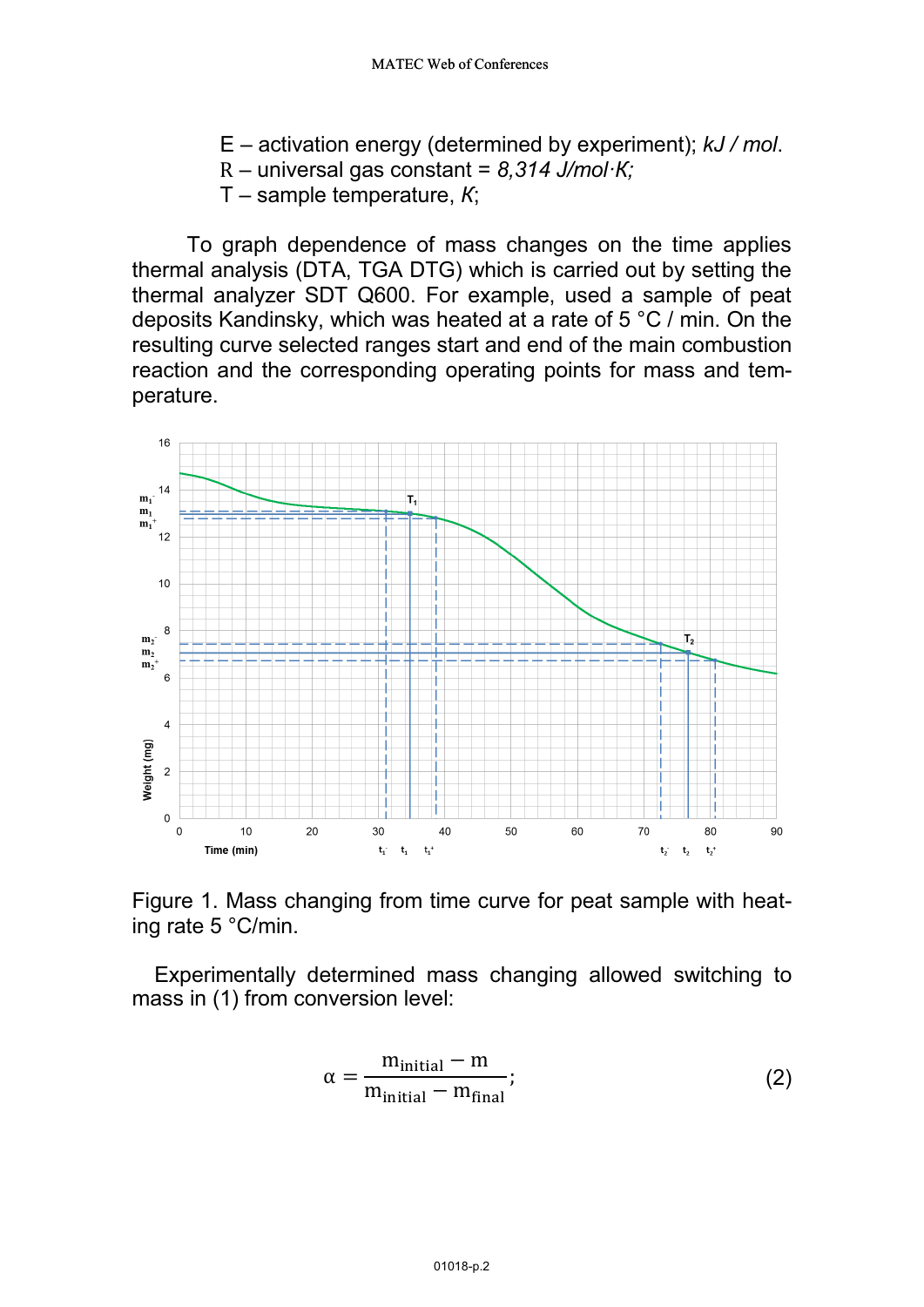- Е activation energy (determined by experiment); *kJ / mol*.
- R universal gas constant = *8,314 J/mol·К;*
- Т sample temperature, *К*;

To graph dependence of mass changes on the time applies thermal analysis (DTA, TGA DTG) which is carried out by setting the thermal analyzer SDT Q600. For example, used a sample of peat deposits Kandinsky, which was heated at a rate of 5 °C / min. On the resulting curve selected ranges start and end of the main combustion reaction and the corresponding operating points for mass and temperature.



Figure 1. Mass changing from time curve for peat sample with heating rate 5 °С/min.

Experimentally determined mass changing allowed switching to mass in (1) from conversion level:

$$
\alpha = \frac{m_{\text{initial}} - m}{m_{\text{initial}} - m_{\text{final}}};\tag{2}
$$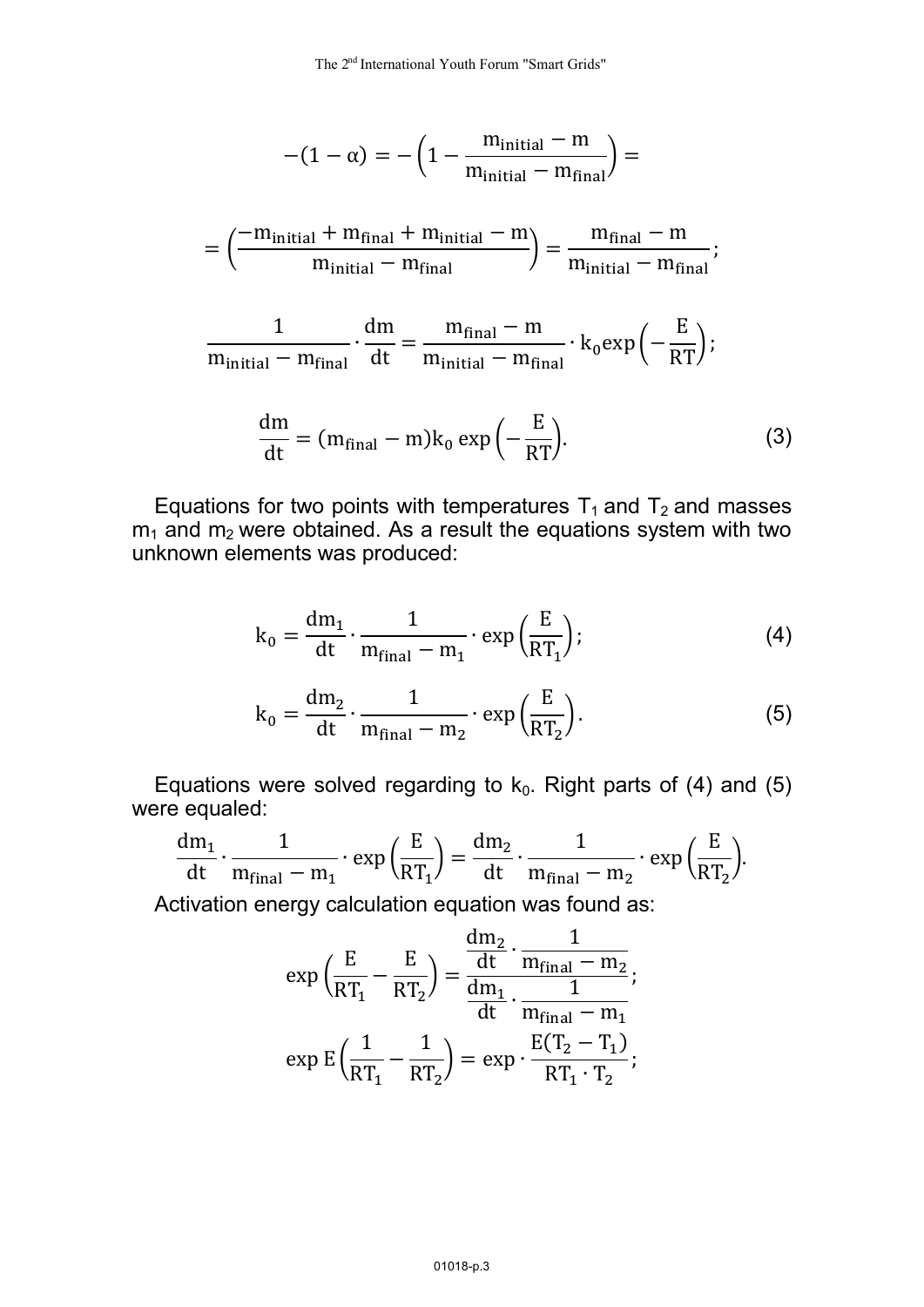$$
-(1-\alpha) = -\left(1 - \frac{m_{\text{initial}} - m}{m_{\text{initial}} - m_{\text{final}}}\right) =
$$

$$
= \left(\begin{array}{c|c} -m_{initial}+m_{final}+m_{initial}-m \\ \hline m_{initial}-m_{final} \end{array}\right) = \frac{m_{final}-m}{m_{initial}-m_{final}};
$$

$$
\frac{1}{m_{initial} - m_{final}} \cdot \frac{dm}{dt} = \frac{m_{final} - m}{m_{initial} - m_{final}} \cdot k_0 \exp\left(-\frac{E}{RT}\right);
$$

$$
\frac{dm}{dt} = (m_{final} - m)k_0 \exp\left(-\frac{E}{RT}\right).
$$
 (3)

Equations for two points with temperatures  $T_1$  and  $T_2$  and masses  $m_1$  and  $m_2$  were obtained. As a result the equations system with two unknown elements was produced:

$$
k_0 = \frac{dm_1}{dt} \cdot \frac{1}{m_{final} - m_1} \cdot \exp\left(\frac{E}{RT_1}\right);
$$
 (4)

$$
k_0 = \frac{dm_2}{dt} \cdot \frac{1}{m_{final} - m_2} \cdot \exp\left(\frac{E}{RT_2}\right).
$$
 (5)

Equations were solved regarding to  $k_0$ . Right parts of (4) and (5) were equaled:

$$
\frac{dm_1}{dt} \cdot \frac{1}{m_{final}-m_1} \cdot \text{exp}\left(\frac{E}{RT_1}\right) = \frac{dm_2}{dt} \cdot \frac{1}{m_{final}-m_2} \cdot \text{exp}\left(\frac{E}{RT_2}\right)\!.
$$

Activation energy calculation equation was found as:

$$
\exp\left(\frac{E}{RT_1} - \frac{E}{RT_2}\right) = \frac{\frac{dm_2}{dt} \cdot \frac{1}{m_{final} - m_2}}{\frac{dm_1}{dt} \cdot \frac{1}{m_{final} - m_1}};
$$

$$
\exp E\left(\frac{1}{RT_1} - \frac{1}{RT_2}\right) = \exp \cdot \frac{E(T_2 - T_1)}{RT_1 \cdot T_2};
$$